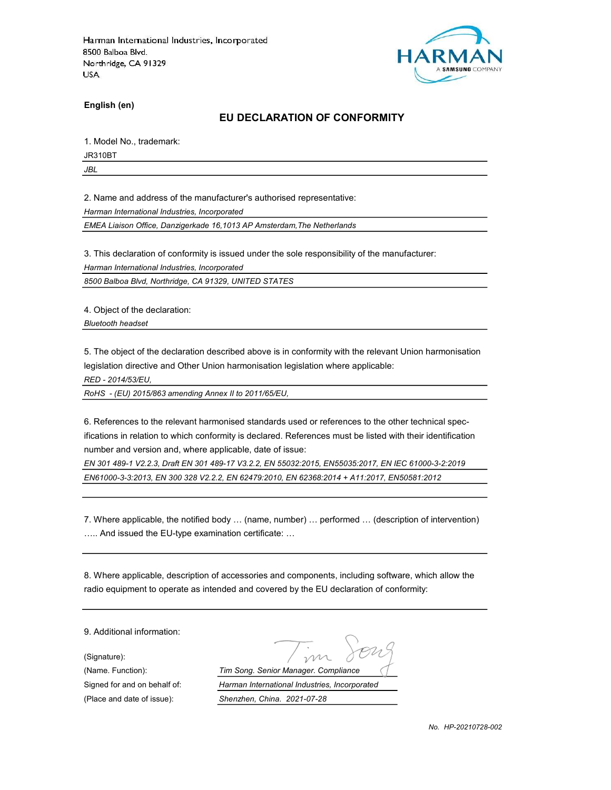

English (en)

#### EU DECLARATION OF CONFORMITY

1. Model No., trademark:

JR310BT

JBL

2. Name and address of the manufacturer's authorised representative:

Harman International Industries, Incorporated

EMEA Liaison Office, Danzigerkade 16,1013 AP Amsterdam,The Netherlands

3. This declaration of conformity is issued under the sole responsibility of the manufacturer:

Harman International Industries, Incorporated

8500 Balboa Blvd, Northridge, CA 91329, UNITED STATES

4. Object of the declaration:

Bluetooth headset

5. The object of the declaration described above is in conformity with the relevant Union harmonisation legislation directive and Other Union harmonisation legislation where applicable:

RED - 2014/53/EU,

RoHS - (EU) 2015/863 amending Annex II to 2011/65/EU,

6. References to the relevant harmonised standards used or references to the other technical specifications in relation to which conformity is declared. References must be listed with their identification number and version and, where applicable, date of issue:

EN 301 489-1 V2.2.3, Draft EN 301 489-17 V3.2.2, EN 55032:2015, EN55035:2017, EN IEC 61000-3-2:2019 EN61000-3-3:2013, EN 300 328 V2.2.2, EN 62479:2010, EN 62368:2014 + A11:2017, EN50581:2012

7. Where applicable, the notified body … (name, number) … performed … (description of intervention) ….. And issued the EU-type examination certificate: …

8. Where applicable, description of accessories and components, including software, which allow the radio equipment to operate as intended and covered by the EU declaration of conformity:

9. Additional information:

(Signature):

(Name. Function): Tim Song. Senior Manager. Compliance Signed for and on behalf of: Harman International Industries, Incorporated (Place and date of issue): Shenzhen, China. 2021-07-28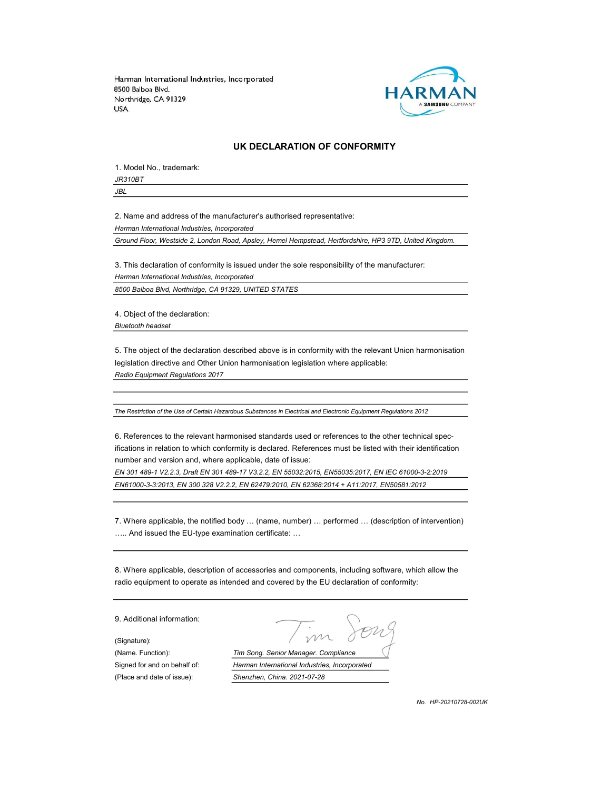

#### UK DECLARATION OF CONFORMITY

1. Model No., trademark: JR310BT

JBL

2. Name and address of the manufacturer's authorised representative: Harman International Industries, Incorporated

Ground Floor, Westside 2, London Road, Apsley, Hemel Hempstead, Hertfordshire, HP3 9TD, United Kingdom.

3. This declaration of conformity is issued under the sole responsibility of the manufacturer:

Harman International Industries, Incorporated

8500 Balboa Blvd, Northridge, CA 91329, UNITED STATES

4. Object of the declaration: Bluetooth headset

5. The object of the declaration described above is in conformity with the relevant Union harmonisation legislation directive and Other Union harmonisation legislation where applicable: Radio Equipment Regulations 2017

The Restriction of the Use of Certain Hazardous Substances in Electrical and Electronic Equipment Regulations 2012

6. References to the relevant harmonised standards used or references to the other technical specifications in relation to which conformity is declared. References must be listed with their identification number and version and, where applicable, date of issue:

EN 301 489-1 V2.2.3, Draft EN 301 489-17 V3.2.2, EN 55032:2015, EN55035:2017, EN IEC 61000-3-2:2019 EN61000-3-3:2013, EN 300 328 V2.2.2, EN 62479:2010, EN 62368:2014 + A11:2017, EN50581:2012

7. Where applicable, the notified body … (name, number) … performed … (description of intervention) ….. And issued the EU-type examination certificate: …

8. Where applicable, description of accessories and components, including software, which allow the radio equipment to operate as intended and covered by the EU declaration of conformity:

9. Additional information:

(Signature):

(Name. Function): Tim Song. Senior Manager. Compliance Signed for and on behalf of: Harman International Industries, Incorporated (Place and date of issue): Shenzhen, China. 2021-07-28

No. HP-20210728-002UK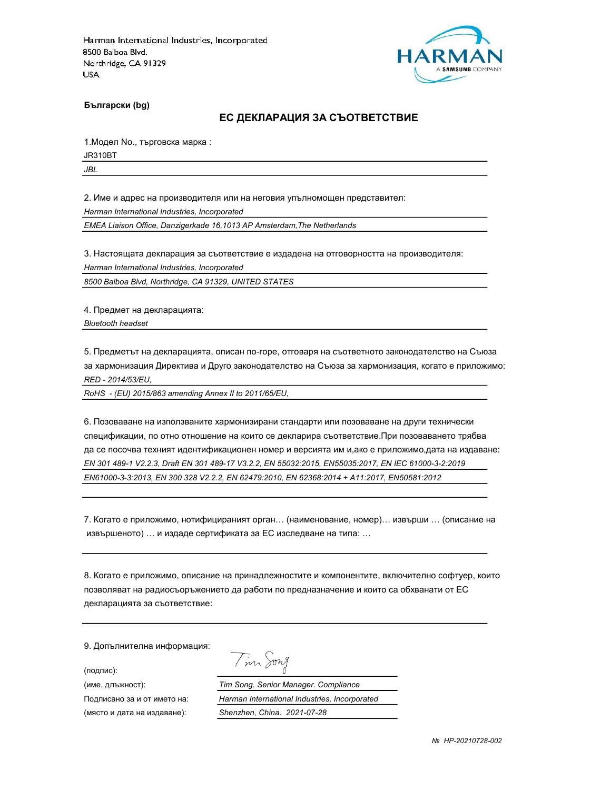

Български (bg)

#### ЕС ДЕКЛАРАЦИЯ ЗА СЪОТВЕТСТВИЕ

1.Модел No., търговска марка :

JR310BT

JBL

2. Име и адрес на производителя или на неговия упълномощен представител:

Harman International Industries, Incorporated

EMEA Liaison Office, Danzigerkade 16,1013 AP Amsterdam,The Netherlands

3. Настоящата декларация за съответствие е издадена на отговорността на производителя:

Harman International Industries, Incorporated

8500 Balboa Blvd, Northridge, CA 91329, UNITED STATES

4. Предмет на декларацията:

Bluetooth headset

5. Предметът на декларацията, описан по-горе, отговаря на съответното законодателство на Съюза за хармонизация Директива и Друго законодателство на Съюза за хармонизация, когато е приложимо: RED - 2014/53/EU,

RoHS - (EU) 2015/863 amending Annex II to 2011/65/EU,

6. Позоваване на използваните хармонизирани стандарти или позоваване на други технически спецификации, по отно отношение на които се декларира съответствие.При позоваването трябва да се посочва техният идентификационен номер и версията им и,ако е приложимо,дата на издаване: EN 301 489-1 V2.2.3, Draft EN 301 489-17 V3.2.2, EN 55032:2015, EN55035:2017, EN IEC 61000-3-2:2019 EN61000-3-3:2013, EN 300 328 V2.2.2, EN 62479:2010, EN 62368:2014 + A11:2017, EN50581:2012

7. Когато е приложимо, нотифицираният орган… (наименование, номер)… извърши … (описание на извършеното) … и издаде сертификата за ЕС изследване на типа: …

8. Когато е приложимо, описание на принадлежностите и компонентите, включително софтуер, които позволяват на радиосъоръжението да работи по предназначение и които са обхванати от ЕС декларацията за съответствие:

Tim Song

9. Допълнителна информация:

(подпис):

(име, длъжност): Tim Song. Senior Manager. Compliance Подписано за и от името на: Harman International Industries, Incorporated (място и дата на издаване): Shenzhen, China. 2021-07-28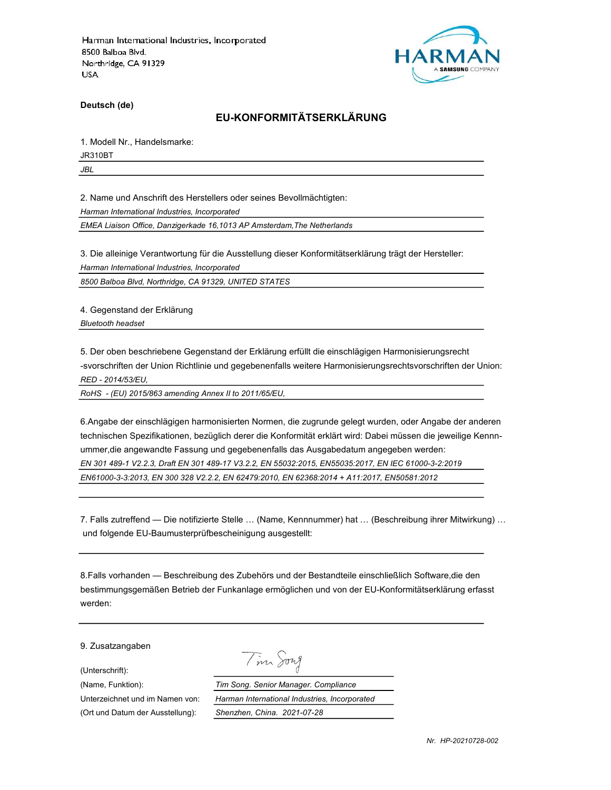

Deutsch (de)

# EU-KONFORMITÄTSERKLÄRUNG

1. Modell Nr., Handelsmarke:

JR310BT

JBL

2. Name und Anschrift des Herstellers oder seines Bevollmächtigten:

Harman International Industries, Incorporated

EMEA Liaison Office, Danzigerkade 16,1013 AP Amsterdam,The Netherlands

3. Die alleinige Verantwortung für die Ausstellung dieser Konformitätserklärung trägt der Hersteller:

Harman International Industries, Incorporated

8500 Balboa Blvd, Northridge, CA 91329, UNITED STATES

4. Gegenstand der Erklärung Bluetooth headset

5. Der oben beschriebene Gegenstand der Erklärung erfüllt die einschlägigen Harmonisierungsrecht -svorschriften der Union Richtlinie und gegebenenfalls weitere Harmonisierungsrechtsvorschriften der Union: RED - 2014/53/EU,

RoHS - (EU) 2015/863 amending Annex II to 2011/65/EU,

6.Angabe der einschlägigen harmonisierten Normen, die zugrunde gelegt wurden, oder Angabe der anderen technischen Spezifikationen, bezüglich derer die Konformität erklärt wird: Dabei müssen die jeweilige Kennnummer,die angewandte Fassung und gegebenenfalls das Ausgabedatum angegeben werden: EN 301 489-1 V2.2.3, Draft EN 301 489-17 V3.2.2, EN 55032:2015, EN55035:2017, EN IEC 61000-3-2:2019

EN61000-3-3:2013, EN 300 328 V2.2.2, EN 62479:2010, EN 62368:2014 + A11:2017, EN50581:2012

7. Falls zutreffend — Die notifizierte Stelle … (Name, Kennnummer) hat … (Beschreibung ihrer Mitwirkung) … und folgende EU-Baumusterprüfbescheinigung ausgestellt:

8.Falls vorhanden — Beschreibung des Zubehörs und der Bestandteile einschließlich Software,die den bestimmungsgemäßen Betrieb der Funkanlage ermöglichen und von der EU-Konformitätserklärung erfasst werden:

9. Zusatzangaben

(Unterschrift):

Tim Song

(Name, Funktion): Tim Song. Senior Manager. Compliance Unterzeichnet und im Namen von: Harman International Industries, Incorporated (Ort und Datum der Ausstellung): Shenzhen, China. 2021-07-28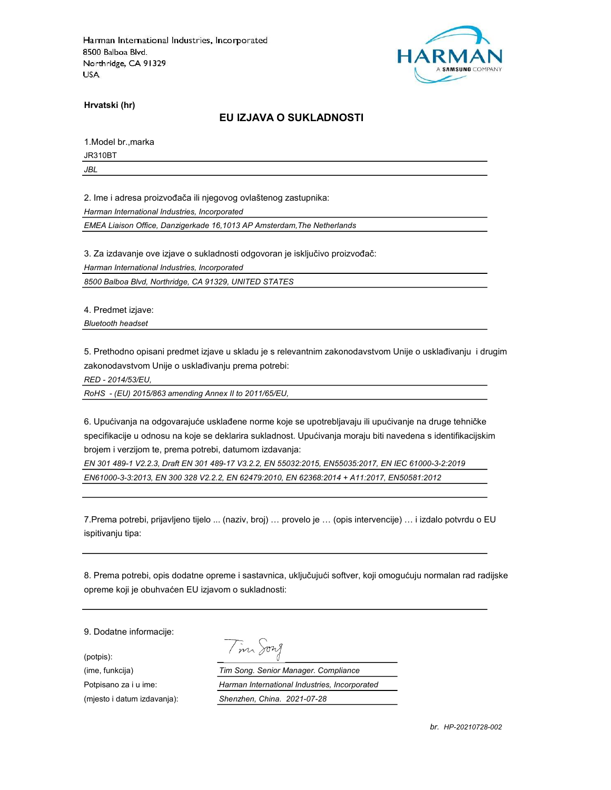

Hrvatski (hr)

### EU IZJAVA O SUKLADNOSTI

1.Model br.,marka

JR310BT

JBL

2. Ime i adresa proizvođača ili njegovog ovlaštenog zastupnika:

Harman International Industries, Incorporated

EMEA Liaison Office, Danzigerkade 16,1013 AP Amsterdam,The Netherlands

3. Za izdavanje ove izjave o sukladnosti odgovoran je isključivo proizvođač:

Harman International Industries, Incorporated

8500 Balboa Blvd, Northridge, CA 91329, UNITED STATES

4. Predmet izjave:

Bluetooth headset

5. Prethodno opisani predmet izjave u skladu je s relevantnim zakonodavstvom Unije o usklađivanju i drugim zakonodavstvom Unije o usklađivanju prema potrebi:

RED - 2014/53/EU,

RoHS - (EU) 2015/863 amending Annex II to 2011/65/EU,

6. Upućivanja na odgovarajuće usklađene norme koje se upotrebljavaju ili upućivanje na druge tehničke specifikacije u odnosu na koje se deklarira sukladnost. Upućivanja moraju biti navedena s identifikacijskim brojem i verzijom te, prema potrebi, datumom izdavanja:

EN 301 489-1 V2.2.3, Draft EN 301 489-17 V3.2.2, EN 55032:2015, EN55035:2017, EN IEC 61000-3-2:2019 EN61000-3-3:2013, EN 300 328 V2.2.2, EN 62479:2010, EN 62368:2014 + A11:2017, EN50581:2012

7.Prema potrebi, prijavljeno tijelo ... (naziv, broj) … provelo je … (opis intervencije) … i izdalo potvrdu o EU ispitivanju tipa:

8. Prema potrebi, opis dodatne opreme i sastavnica, uključujući softver, koji omogućuju normalan rad radijske opreme koji je obuhvaćen EU izjavom o sukladnosti:

9. Dodatne informacije:

(potpis):

Tim Song

(ime, funkcija) Tim Song. Senior Manager. Compliance Potpisano za i u ime: <br>
Harman International Industries, Incorporated (mjesto i datum izdavanja): Shenzhen, China. 2021-07-28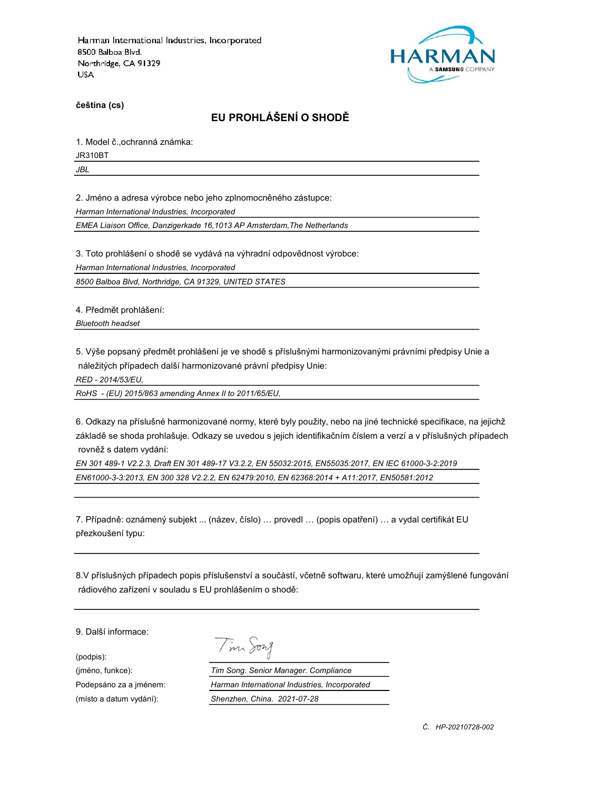

čeština (cs)

# EU PROHLÁŠENÍ O SHODĚ

1. Model č.,ochranná známka:

JR310BT

JBL

2. Jméno a adresa výrobce nebo jeho zplnomocněného zástupce:

Harman International Industries, Incorporated

EMEA Liaison Office, Danzigerkade 16,1013 AP Amsterdam,The Netherlands

3. Toto prohlášení o shodě se vydává na výhradní odpovědnost výrobce:

Harman International Industries, Incorporated

8500 Balboa Blvd, Northridge, CA 91329, UNITED STATES

4. Předmět prohlášení:

Bluetooth headset

5. Výše popsaný předmět prohlášení je ve shodě s příslušnými harmonizovanými právními předpisy Unie a náležitých případech další harmonizované právní předpisy Unie:

RED - 2014/53/EU,

RoHS - (EU) 2015/863 amending Annex II to 2011/65/EU,

6. Odkazy na příslušné harmonizované normy, které byly použity, nebo na jiné technické specifikace, na jejichž základě se shoda prohlašuje. Odkazy se uvedou s jejich identifikačním číslem a verzí a v příslušných případech rovněž s datem vydání:

EN 301 489-1 V2.2.3, Draft EN 301 489-17 V3.2.2, EN 55032:2015, EN55035:2017, EN IEC 61000-3-2:2019 EN61000-3-3:2013, EN 300 328 V2.2.2, EN 62479:2010, EN 62368:2014 + A11:2017, EN50581:2012

7. Případně: oznámený subjekt ... (název, číslo) … provedl … (popis opatření) … a vydal certifikát EU přezkoušení typu:

8.V příslušných případech popis příslušenství a součástí, včetně softwaru, které umožňují zamýšlené fungování rádiového zařízení v souladu s EU prohlášením o shodě:

9. Další informace:

(podpis):

Tim Song

(jméno, funkce): Tim Song. Senior Manager. Compliance Podepsáno za a jménem: Harman International Industries, Incorporated (místo a datum vydání): Shenzhen, China. 2021-07-28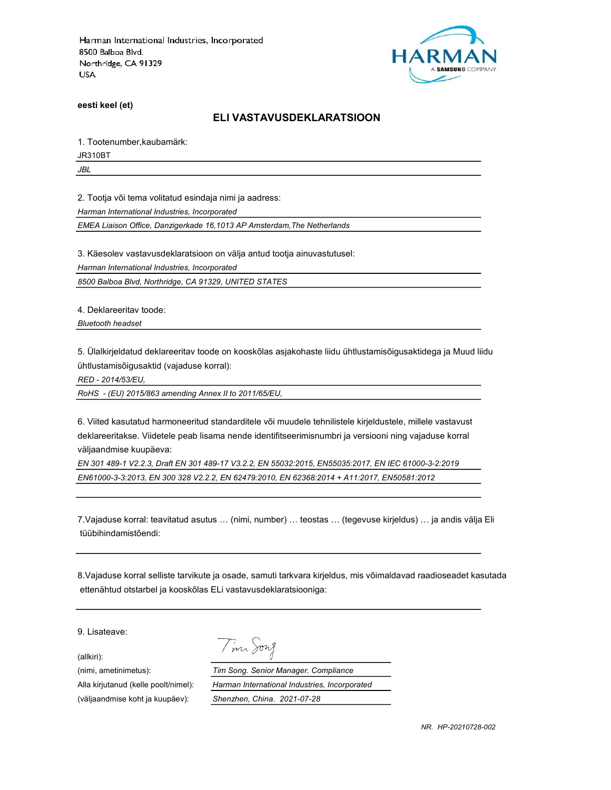

eesti keel (et)

#### ELI VASTAVUSDEKLARATSIOON

1. Tootenumber,kaubamärk:

JR310BT

JBL

2. Tootja või tema volitatud esindaja nimi ja aadress:

Harman International Industries, Incorporated

EMEA Liaison Office, Danzigerkade 16,1013 AP Amsterdam,The Netherlands

3. Käesolev vastavusdeklaratsioon on välja antud tootja ainuvastutusel:

Harman International Industries, Incorporated

8500 Balboa Blvd, Northridge, CA 91329, UNITED STATES

4. Deklareeritav toode:

Bluetooth headset

5. Ülalkirjeldatud deklareeritav toode on kooskõlas asjakohaste liidu ühtlustamisõigusaktidega ja Muud liidu ühtlustamisõigusaktid (vajaduse korral):

RED - 2014/53/EU,

RoHS - (EU) 2015/863 amending Annex II to 2011/65/EU,

6. Viited kasutatud harmoneeritud standarditele või muudele tehnilistele kirjeldustele, millele vastavust deklareeritakse. Viidetele peab lisama nende identifitseerimisnumbri ja versiooni ning vajaduse korral väljaandmise kuupäeva:

EN 301 489-1 V2.2.3, Draft EN 301 489-17 V3.2.2, EN 55032:2015, EN55035:2017, EN IEC 61000-3-2:2019 EN61000-3-3:2013, EN 300 328 V2.2.2, EN 62479:2010, EN 62368:2014 + A11:2017, EN50581:2012

7.Vajaduse korral: teavitatud asutus … (nimi, number) … teostas … (tegevuse kirjeldus) … ja andis välja Eli tüübihindamistõendi:

8.Vajaduse korral selliste tarvikute ja osade, samuti tarkvara kirjeldus, mis võimaldavad raadioseadet kasutada ettenähtud otstarbel ja kooskõlas ELi vastavusdeklaratsiooniga:

9. Lisateave:

(allkiri):

Tim Song

(nimi, ametinimetus): Tim Song. Senior Manager. Compliance Alla kirjutanud (kelle poolt/nimel): Harman International Industries, Incorporated (väljaandmise koht ja kuupäev): Shenzhen, China. 2021-07-28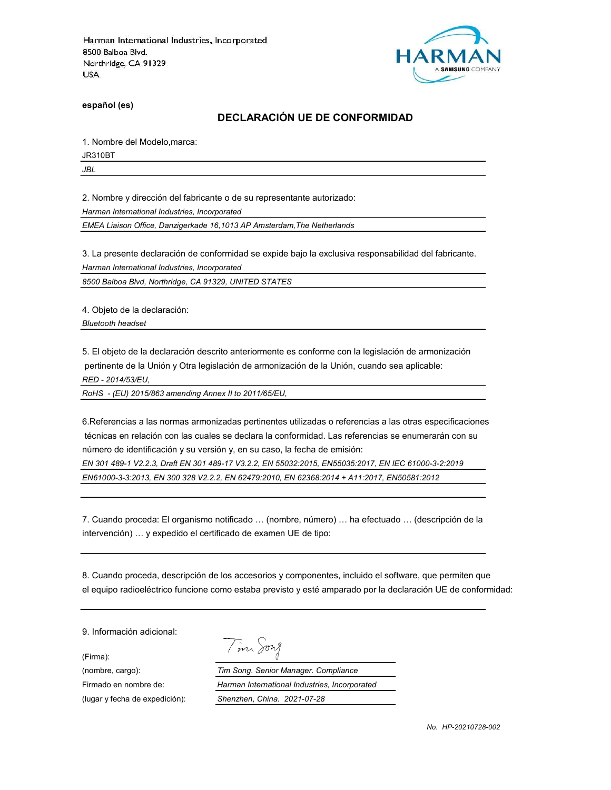

español (es)

# DECLARACIÓN UE DE CONFORMIDAD

1. Nombre del Modelo,marca:

JR310BT

JBL

2. Nombre y dirección del fabricante o de su representante autorizado:

Harman International Industries, Incorporated

EMEA Liaison Office, Danzigerkade 16,1013 AP Amsterdam,The Netherlands

3. La presente declaración de conformidad se expide bajo la exclusiva responsabilidad del fabricante.

Harman International Industries, Incorporated

8500 Balboa Blvd, Northridge, CA 91329, UNITED STATES

4. Objeto de la declaración:

Bluetooth headset

5. El objeto de la declaración descrito anteriormente es conforme con la legislación de armonización pertinente de la Unión y Otra legislación de armonización de la Unión, cuando sea aplicable:

RED - 2014/53/EU,

RoHS - (EU) 2015/863 amending Annex II to 2011/65/EU,

6.Referencias a las normas armonizadas pertinentes utilizadas o referencias a las otras especificaciones técnicas en relación con las cuales se declara la conformidad. Las referencias se enumerarán con su número de identificación y su versión y, en su caso, la fecha de emisión:

EN 301 489-1 V2.2.3, Draft EN 301 489-17 V3.2.2, EN 55032:2015, EN55035:2017, EN IEC 61000-3-2:2019 EN61000-3-3:2013, EN 300 328 V2.2.2, EN 62479:2010, EN 62368:2014 + A11:2017, EN50581:2012

7. Cuando proceda: El organismo notificado … (nombre, número) … ha efectuado … (descripción de la intervención) … y expedido el certificado de examen UE de tipo:

8. Cuando proceda, descripción de los accesorios y componentes, incluido el software, que permiten que el equipo radioeléctrico funcione como estaba previsto y esté amparado por la declaración UE de conformidad:

9. Información adicional:

(Firma):

Tim Song

(nombre, cargo): Tim Song. Senior Manager. Compliance Firmado en nombre de: Harman International Industries, Incorporated (lugar y fecha de expedición): Shenzhen, China. 2021-07-28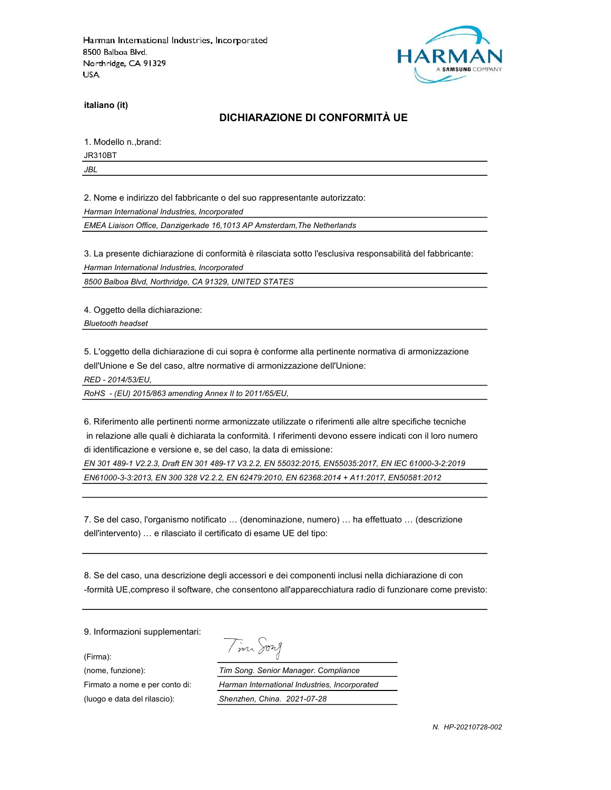

italiano (it)

# DICHIARAZIONE DI CONFORMITÀ UE

1. Modello n.,brand:

JR310BT

JBL

2. Nome e indirizzo del fabbricante o del suo rappresentante autorizzato:

Harman International Industries, Incorporated

EMEA Liaison Office, Danzigerkade 16,1013 AP Amsterdam,The Netherlands

3. La presente dichiarazione di conformità è rilasciata sotto l'esclusiva responsabilità del fabbricante:

Harman International Industries, Incorporated

8500 Balboa Blvd, Northridge, CA 91329, UNITED STATES

4. Oggetto della dichiarazione:

Bluetooth headset

5. L'oggetto della dichiarazione di cui sopra è conforme alla pertinente normativa di armonizzazione dell'Unione e Se del caso, altre normative di armonizzazione dell'Unione:

RED - 2014/53/EU,

RoHS - (EU) 2015/863 amending Annex II to 2011/65/EU,

6. Riferimento alle pertinenti norme armonizzate utilizzate o riferimenti alle altre specifiche tecniche in relazione alle quali è dichiarata la conformità. I riferimenti devono essere indicati con il loro numero di identificazione e versione e, se del caso, la data di emissione:

EN 301 489-1 V2.2.3, Draft EN 301 489-17 V3.2.2, EN 55032:2015, EN55035:2017, EN IEC 61000-3-2:2019 EN61000-3-3:2013, EN 300 328 V2.2.2, EN 62479:2010, EN 62368:2014 + A11:2017, EN50581:2012

7. Se del caso, l'organismo notificato … (denominazione, numero) … ha effettuato … (descrizione dell'intervento) … e rilasciato il certificato di esame UE del tipo:

8. Se del caso, una descrizione degli accessori e dei componenti inclusi nella dichiarazione di con -formità UE,compreso il software, che consentono all'apparecchiatura radio di funzionare come previsto:

9. Informazioni supplementari:

(Firma):

Tim Song

(nome, funzione): Tim Song. Senior Manager. Compliance Firmato a nome e per conto di: Harman International Industries, Incorporated (luogo e data del rilascio): Shenzhen, China. 2021-07-28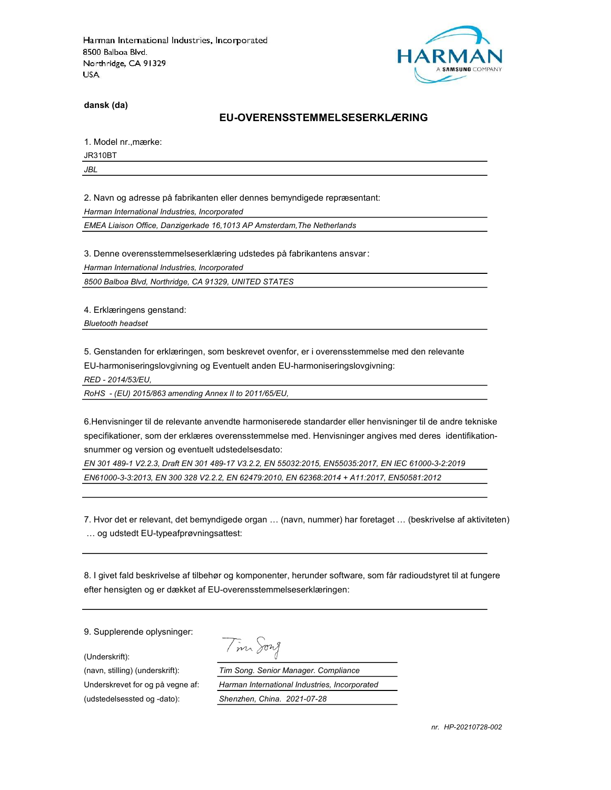

dansk (da)

#### EU-OVERENSSTEMMELSESERKLÆRING

1. Model nr.,mærke:

JR310BT

JBL

2. Navn og adresse på fabrikanten eller dennes bemyndigede repræsentant:

Harman International Industries, Incorporated

EMEA Liaison Office, Danzigerkade 16,1013 AP Amsterdam,The Netherlands

3. Denne overensstemmelseserklæring udstedes på fabrikantens ansvar:

Harman International Industries, Incorporated

8500 Balboa Blvd, Northridge, CA 91329, UNITED STATES

4. Erklæringens genstand:

Bluetooth headset

5. Genstanden for erklæringen, som beskrevet ovenfor, er i overensstemmelse med den relevante

EU-harmoniseringslovgivning og Eventuelt anden EU-harmoniseringslovgivning:

RED - 2014/53/EU,

RoHS - (EU) 2015/863 amending Annex II to 2011/65/EU,

6.Henvisninger til de relevante anvendte harmoniserede standarder eller henvisninger til de andre tekniske specifikationer, som der erklæres overensstemmelse med. Henvisninger angives med deres identifikationsnummer og version og eventuelt udstedelsesdato:

EN 301 489-1 V2.2.3, Draft EN 301 489-17 V3.2.2, EN 55032:2015, EN55035:2017, EN IEC 61000-3-2:2019 EN61000-3-3:2013, EN 300 328 V2.2.2, EN 62479:2010, EN 62368:2014 + A11:2017, EN50581:2012

7. Hvor det er relevant, det bemyndigede organ … (navn, nummer) har foretaget … (beskrivelse af aktiviteten) … og udstedt EU-typeafprøvningsattest:

8. I givet fald beskrivelse af tilbehør og komponenter, herunder software, som får radioudstyret til at fungere efter hensigten og er dækket af EU-overensstemmelseserklæringen:

9. Supplerende oplysninger:

(Underskrift):

(udstedelsessted og -dato): Shenzhen, China. 2021-07-28

Tim Song

(navn, stilling) (underskrift): Tim Song. Senior Manager. Compliance Underskrevet for og på vegne af: Harman International Industries, Incorporated

nr. HP-20210728-002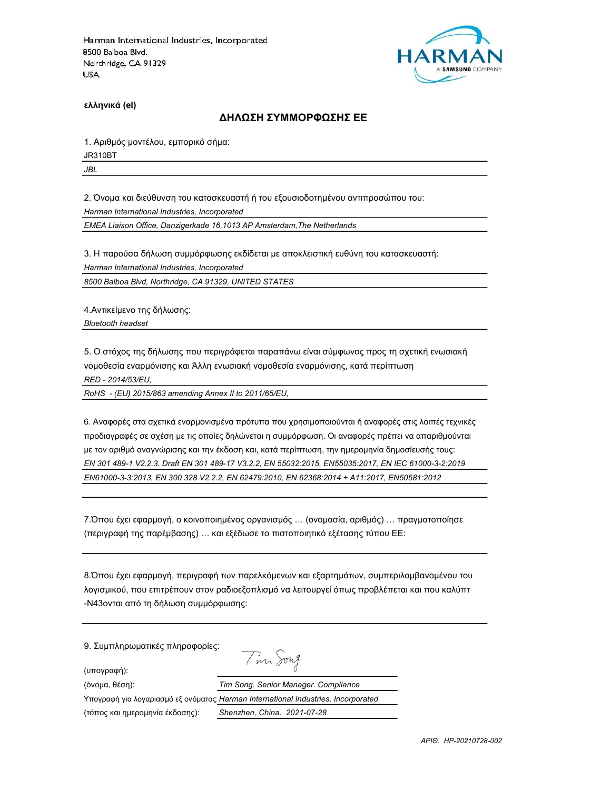

ελληνικά (el)

### ΔΗΛΩΣΗ ΣΥΜΜΟΡΦΩΣΗΣ ΕΕ

1. Αριθμός μοντέλου, εμπορικό σήμα:

JR310BT

JBL

2. Όνομα και διεύθυνση του κατασκευαστή ή του εξουσιοδοτημένου αντιπροσώπου του:

Harman International Industries, Incorporated

EMEA Liaison Office, Danzigerkade 16,1013 AP Amsterdam,The Netherlands

3. Η παρούσα δήλωση συμμόρφωσης εκδίδεται με αποκλειστική ευθύνη του κατασκευαστή:

Harman International Industries, Incorporated

8500 Balboa Blvd, Northridge, CA 91329, UNITED STATES

4.Αντικείμενο της δήλωσης: Bluetooth headset

5. Ο στόχος της δήλωσης που περιγράφεται παραπάνω είναι σύμφωνος προς τη σχετική ενωσιακή νομοθεσία εναρμόνισης και Άλλη ενωσιακή νομοθεσία εναρμόνισης, κατά περίπτωση RED - 2014/53/EU,

RoHS - (EU) 2015/863 amending Annex II to 2011/65/EU,

6. Αναφορές στα σχετικά εναρμονισμένα πρότυπα που χρησιμοποιούνται ή αναφορές στις λοιπές τεχνικές προδιαγραφές σε σχέση με τις οποίες δηλώνεται η συμμόρφωση. Οι αναφορές πρέπει να απαριθμούνται με τον αριθμό αναγνώρισης και την έκδοση και, κατά περίπτωση, την ημερομηνία δημοσίευσής τους: EN 301 489-1 V2.2.3, Draft EN 301 489-17 V3.2.2, EN 55032:2015, EN55035:2017, EN IEC 61000-3-2:2019 EN61000-3-3:2013, EN 300 328 V2.2.2, EN 62479:2010, EN 62368:2014 + A11:2017, EN50581:2012

7.Όπου έχει εφαρμογή, ο κοινοποιημένος οργανισμός … (ονομασία, αριθμός) … πραγματοποίησε (περιγραφή της παρέμβασης) … και εξέδωσε το πιστοποιητικό εξέτασης τύπου ΕΕ:

8.Όπου έχει εφαρμογή, περιγραφή των παρελκόμενων και εξαρτημάτων, συμπεριλαμβανομένου του λογισμικού, που επιτρέπουν στον ραδιοεξοπλισμό να λειτουργεί όπως προβλέπεται και που καλύπτ -N43ονται από τη δήλωση συμμόρφωσης:

9. Συμπληρωματικές πληροφορίες:

(υπογραφή):

Tim Song

| (όνομα, θέση):                  | Tim Song. Senior Manager. Compliance                                               |
|---------------------------------|------------------------------------------------------------------------------------|
|                                 | Υπογραφή για λογαριασμό εξ ονόματος: Harman International Industries, Incorporated |
| (τόπος και ημερομηνία έκδοσης): | Shenzhen, China. 2021-07-28                                                        |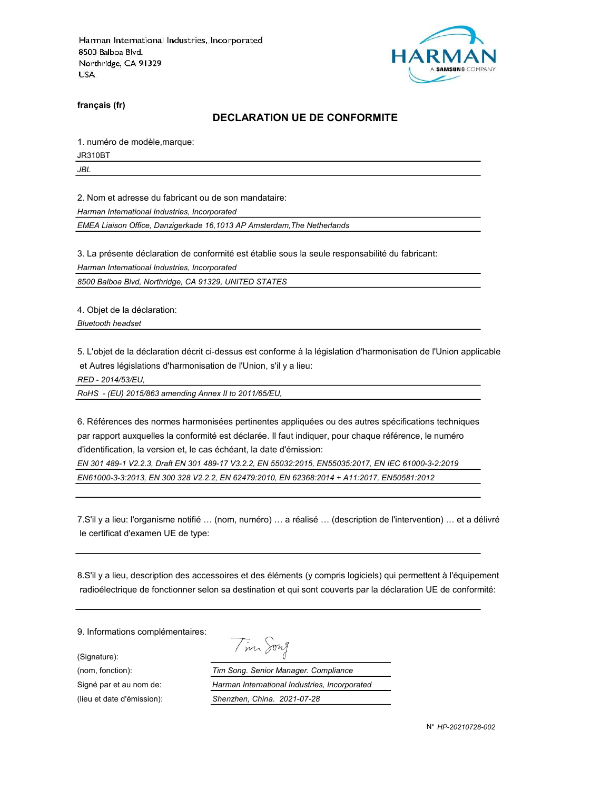

français (fr)

#### DECLARATION UE DE CONFORMITE

1. numéro de modèle,marque:

JR310BT

JBL

2. Nom et adresse du fabricant ou de son mandataire:

Harman International Industries, Incorporated

EMEA Liaison Office, Danzigerkade 16,1013 AP Amsterdam,The Netherlands

3. La présente déclaration de conformité est établie sous la seule responsabilité du fabricant:

Harman International Industries, Incorporated

8500 Balboa Blvd, Northridge, CA 91329, UNITED STATES

4. Objet de la déclaration:

Bluetooth headset

5. L'objet de la déclaration décrit ci-dessus est conforme à la législation d'harmonisation de l'Union applicable et Autres législations d'harmonisation de l'Union, s'il y a lieu:

RED - 2014/53/EU,

RoHS - (EU) 2015/863 amending Annex II to 2011/65/EU,

6. Références des normes harmonisées pertinentes appliquées ou des autres spécifications techniques par rapport auxquelles la conformité est déclarée. Il faut indiquer, pour chaque référence, le numéro d'identification, la version et, le cas échéant, la date d'émission:

EN 301 489-1 V2.2.3, Draft EN 301 489-17 V3.2.2, EN 55032:2015, EN55035:2017, EN IEC 61000-3-2:2019 EN61000-3-3:2013, EN 300 328 V2.2.2, EN 62479:2010, EN 62368:2014 + A11:2017, EN50581:2012

7.S'il y a lieu: l'organisme notifié … (nom, numéro) … a réalisé … (description de l'intervention) … et a délivré le certificat d'examen UE de type:

8.S'il y a lieu, description des accessoires et des éléments (y compris logiciels) qui permettent à l'équipement radioélectrique de fonctionner selon sa destination et qui sont couverts par la déclaration UE de conformité:

Tim Song

9. Informations complémentaires:

(Signature):

(nom, fonction): Tim Song. Senior Manager. Compliance Signé par et au nom de: Harman International Industries, Incorporated (lieu et date d'émission): Shenzhen, China. 2021-07-28

N° HP-20210728-002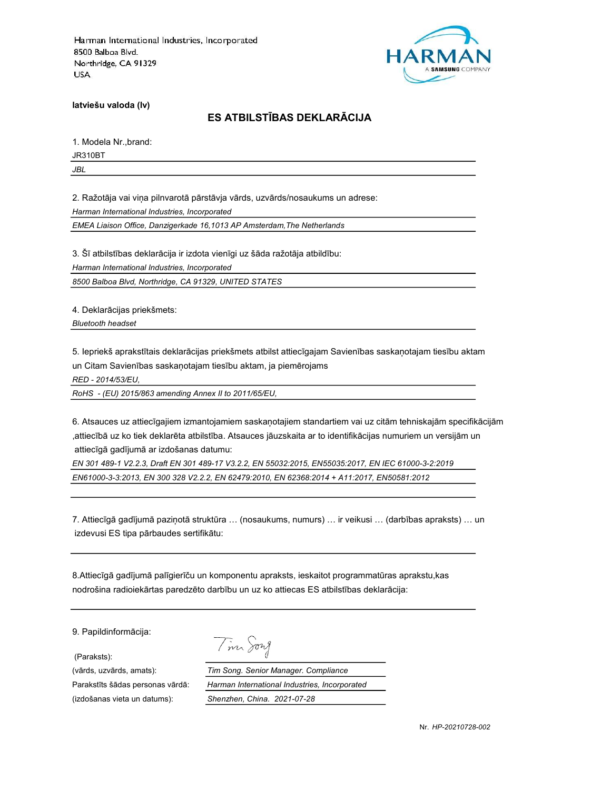

latviešu valoda (lv)

# ES ATBILSTĪBAS DEKLARĀCIJA

1. Modela Nr.,brand:

JR310BT

JBL

2. Ražotāja vai viņa pilnvarotā pārstāvja vārds, uzvārds/nosaukums un adrese:

Harman International Industries, Incorporated

EMEA Liaison Office, Danzigerkade 16,1013 AP Amsterdam,The Netherlands

3. Šī atbilstības deklarācija ir izdota vienīgi uz šāda ražotāja atbildību:

Harman International Industries, Incorporated

8500 Balboa Blvd, Northridge, CA 91329, UNITED STATES

4. Deklarācijas priekšmets:

Bluetooth headset

5. Iepriekš aprakstītais deklarācijas priekšmets atbilst attiecīgajam Savienības saskaņotajam tiesību aktam un Citam Savienības saskaņotajam tiesību aktam, ja piemērojams

RED - 2014/53/EU,

RoHS - (EU) 2015/863 amending Annex II to 2011/65/EU,

6. Atsauces uz attiecīgajiem izmantojamiem saskaņotajiem standartiem vai uz citām tehniskajām specifikācijām ,attiecībā uz ko tiek deklarēta atbilstība. Atsauces jāuzskaita ar to identifikācijas numuriem un versijām un attiecīgā gadījumā ar izdošanas datumu:

EN 301 489-1 V2.2.3, Draft EN 301 489-17 V3.2.2, EN 55032:2015, EN55035:2017, EN IEC 61000-3-2:2019 EN61000-3-3:2013, EN 300 328 V2.2.2, EN 62479:2010, EN 62368:2014 + A11:2017, EN50581:2012

7. Attiecīgā gadījumā paziņotā struktūra … (nosaukums, numurs) … ir veikusi … (darbības apraksts) … un izdevusi ES tipa pārbaudes sertifikātu:

8.Attiecīgā gadījumā palīgierīču un komponentu apraksts, ieskaitot programmatūras aprakstu,kas nodrošina radioiekārtas paredzēto darbību un uz ko attiecas ES atbilstības deklarācija:

9. Papildinformācija:

(Paraksts):

(izdošanas vieta un datums): Shenzhen, China. 2021-07-28

Tim Song

(vārds, uzvārds, amats): Tim Song. Senior Manager. Compliance Parakstīts šādas personas vārdā: Harman International Industries, Incorporated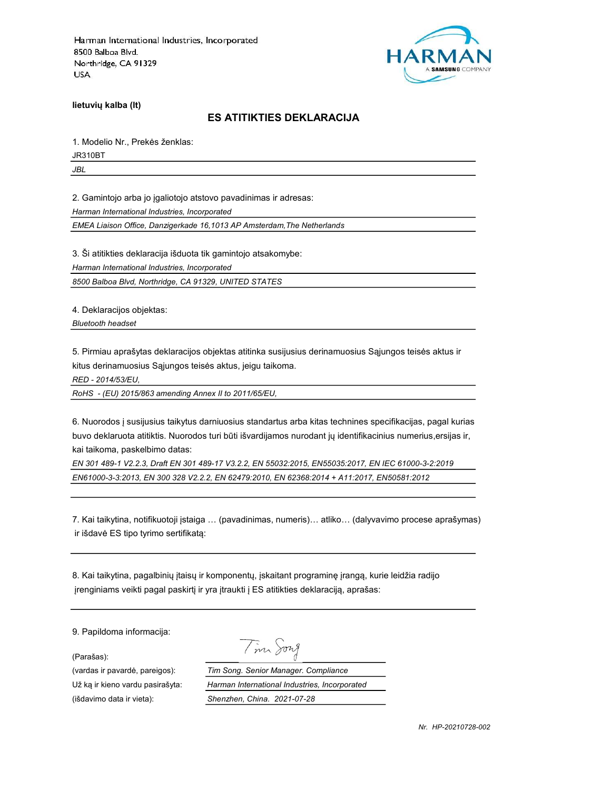

lietuvių kalba (lt)

### ES ATITIKTIES DEKLARACIJA

1. Modelio Nr., Prekės ženklas:

JR310BT

JBL

2. Gamintojo arba jo įgaliotojo atstovo pavadinimas ir adresas:

Harman International Industries, Incorporated

EMEA Liaison Office, Danzigerkade 16,1013 AP Amsterdam,The Netherlands

3. Ši atitikties deklaracija išduota tik gamintojo atsakomybe:

Harman International Industries, Incorporated

8500 Balboa Blvd, Northridge, CA 91329, UNITED STATES

4. Deklaracijos objektas:

Bluetooth headset

5. Pirmiau aprašytas deklaracijos objektas atitinka susijusius derinamuosius Sąjungos teisės aktus ir kitus derinamuosius Sąjungos teisės aktus, jeigu taikoma.

RED - 2014/53/EU,

RoHS - (EU) 2015/863 amending Annex II to 2011/65/EU,

6. Nuorodos į susijusius taikytus darniuosius standartus arba kitas technines specifikacijas, pagal kurias buvo deklaruota atitiktis. Nuorodos turi būti išvardijamos nurodant jų identifikacinius numerius,ersijas ir, kai taikoma, paskelbimo datas:

EN 301 489-1 V2.2.3, Draft EN 301 489-17 V3.2.2, EN 55032:2015, EN55035:2017, EN IEC 61000-3-2:2019 EN61000-3-3:2013, EN 300 328 V2.2.2, EN 62479:2010, EN 62368:2014 + A11:2017, EN50581:2012

7. Kai taikytina, notifikuotoji įstaiga … (pavadinimas, numeris)… atliko… (dalyvavimo procese aprašymas) ir išdavė ES tipo tyrimo sertifikatą:

8. Kai taikytina, pagalbinių įtaisų ir komponentų, įskaitant programinę įrangą, kurie leidžia radijo įrenginiams veikti pagal paskirtį ir yra įtraukti į ES atitikties deklaraciją, aprašas:

9. Papildoma informacija:

(Parašas):

(išdavimo data ir vieta): Shenzhen, China. 2021-07-28

Tim Song

(vardas ir pavardė, pareigos): Tim Song. Senior Manager. Compliance Už ką ir kieno vardu pasirašyta: Harman International Industries, Incorporated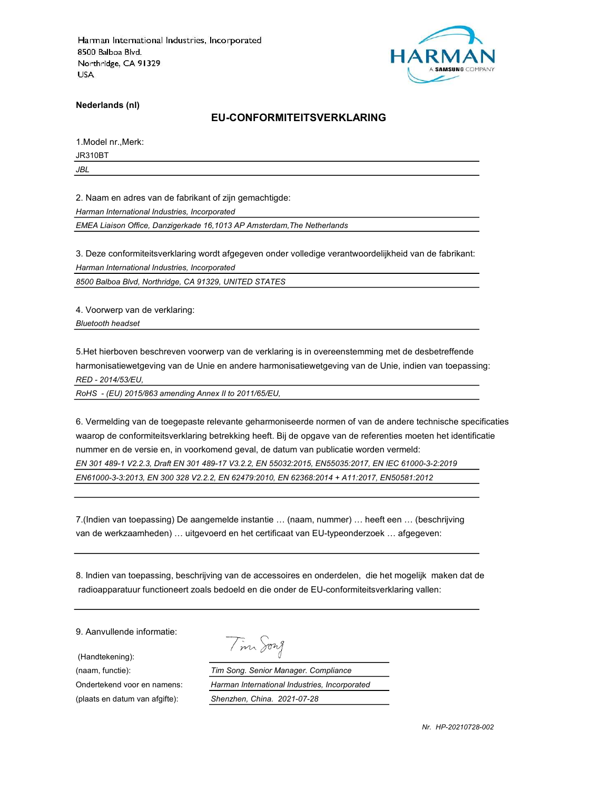

Nederlands (nl)

#### EU-CONFORMITEITSVERKLARING

1.Model nr.,Merk:

JR310BT

JBL

2. Naam en adres van de fabrikant of zijn gemachtigde:

Harman International Industries, Incorporated

EMEA Liaison Office, Danzigerkade 16,1013 AP Amsterdam,The Netherlands

3. Deze conformiteitsverklaring wordt afgegeven onder volledige verantwoordelijkheid van de fabrikant: Harman International Industries, Incorporated

8500 Balboa Blvd, Northridge, CA 91329, UNITED STATES

4. Voorwerp van de verklaring: Bluetooth headset

5.Het hierboven beschreven voorwerp van de verklaring is in overeenstemming met de desbetreffende harmonisatiewetgeving van de Unie en andere harmonisatiewetgeving van de Unie, indien van toepassing: RED - 2014/53/EU,

RoHS - (EU) 2015/863 amending Annex II to 2011/65/EU,

6. Vermelding van de toegepaste relevante geharmoniseerde normen of van de andere technische specificaties waarop de conformiteitsverklaring betrekking heeft. Bij de opgave van de referenties moeten het identificatie nummer en de versie en, in voorkomend geval, de datum van publicatie worden vermeld: EN 301 489-1 V2.2.3, Draft EN 301 489-17 V3.2.2, EN 55032:2015, EN55035:2017, EN IEC 61000-3-2:2019

EN61000-3-3:2013, EN 300 328 V2.2.2, EN 62479:2010, EN 62368:2014 + A11:2017, EN50581:2012

7.(Indien van toepassing) De aangemelde instantie … (naam, nummer) … heeft een … (beschrijving van de werkzaamheden) … uitgevoerd en het certificaat van EU-typeonderzoek … afgegeven:

8. Indien van toepassing, beschrijving van de accessoires en onderdelen, die het mogelijk maken dat de radioapparatuur functioneert zoals bedoeld en die onder de EU-conformiteitsverklaring vallen:

9. Aanvullende informatie:

(Handtekening):

Tim Song

(naam, functie): Tim Song. Senior Manager. Compliance Ondertekend voor en namens: Harman International Industries, Incorporated (plaats en datum van afgifte): Shenzhen, China. 2021-07-28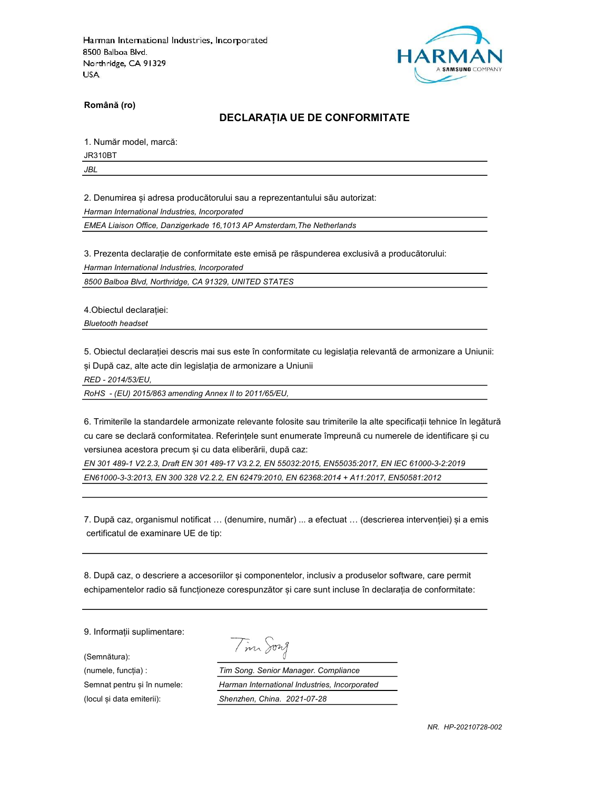

Română (ro)

### DECLARAȚIA UE DE CONFORMITATE

1. Număr model, marcă:

JR310BT

JBL

2. Denumirea și adresa producătorului sau a reprezentantului său autorizat:

Harman International Industries, Incorporated

EMEA Liaison Office, Danzigerkade 16,1013 AP Amsterdam,The Netherlands

3. Prezenta declarație de conformitate este emisă pe răspunderea exclusivă a producătorului:

Harman International Industries, Incorporated

8500 Balboa Blvd, Northridge, CA 91329, UNITED STATES

4.Obiectul declarației:

Bluetooth headset

5. Obiectul declarației descris mai sus este în conformitate cu legislația relevantă de armonizare a Uniunii: și După caz, alte acte din legislația de armonizare a Uniunii

RED - 2014/53/EU,

RoHS - (EU) 2015/863 amending Annex II to 2011/65/EU,

6. Trimiterile la standardele armonizate relevante folosite sau trimiterile la alte specificații tehnice în legătură cu care se declară conformitatea. Referințele sunt enumerate împreună cu numerele de identificare și cu versiunea acestora precum și cu data eliberării, după caz:

EN 301 489-1 V2.2.3, Draft EN 301 489-17 V3.2.2, EN 55032:2015, EN55035:2017, EN IEC 61000-3-2:2019 EN61000-3-3:2013, EN 300 328 V2.2.2, EN 62479:2010, EN 62368:2014 + A11:2017, EN50581:2012

7. După caz, organismul notificat … (denumire, număr) ... a efectuat … (descrierea intervenției) și a emis certificatul de examinare UE de tip:

8. După caz, o descriere a accesoriilor și componentelor, inclusiv a produselor software, care permit echipamentelor radio să funcționeze corespunzător și care sunt incluse în declarația de conformitate:

9. Informații suplimentare:

(Semnătura):

Tim Song

(numele, funcția) : Tim Song. Senior Manager. Compliance Semnat pentru și în numele: Harman International Industries, Incorporated (locul și data emiterii): Shenzhen, China. 2021-07-28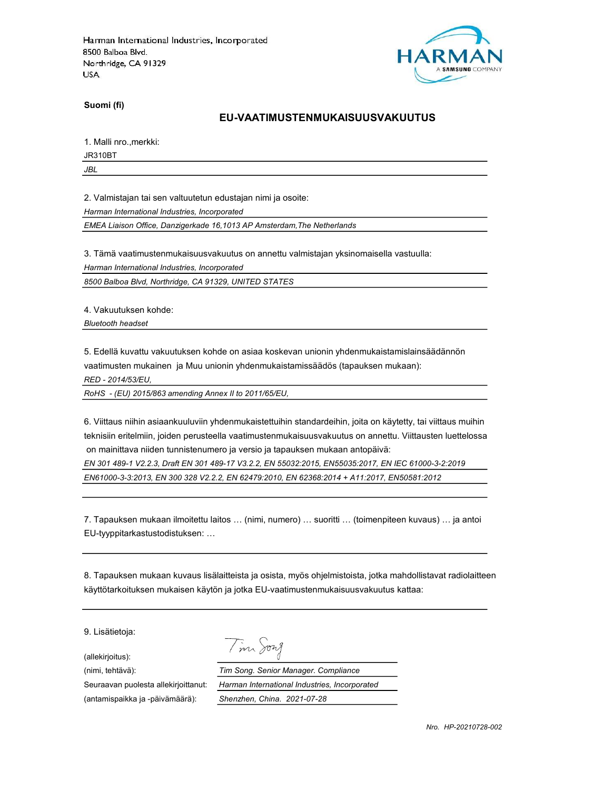

Suomi (fi)

#### EU-VAATIMUSTENMUKAISUUSVAKUUTUS

1. Malli nro.,merkki:

JR310BT

JBL

2. Valmistajan tai sen valtuutetun edustajan nimi ja osoite:

Harman International Industries, Incorporated

EMEA Liaison Office, Danzigerkade 16,1013 AP Amsterdam,The Netherlands

3. Tämä vaatimustenmukaisuusvakuutus on annettu valmistajan yksinomaisella vastuulla:

Harman International Industries, Incorporated

8500 Balboa Blvd, Northridge, CA 91329, UNITED STATES

4. Vakuutuksen kohde:

Bluetooth headset

5. Edellä kuvattu vakuutuksen kohde on asiaa koskevan unionin yhdenmukaistamislainsäädännön vaatimusten mukainen ja Muu unionin yhdenmukaistamissäädös (tapauksen mukaan):

RED - 2014/53/EU,

RoHS - (EU) 2015/863 amending Annex II to 2011/65/EU,

6. Viittaus niihin asiaankuuluviin yhdenmukaistettuihin standardeihin, joita on käytetty, tai viittaus muihin teknisiin eritelmiin, joiden perusteella vaatimustenmukaisuusvakuutus on annettu. Viittausten luettelossa on mainittava niiden tunnistenumero ja versio ja tapauksen mukaan antopäivä:

EN 301 489-1 V2.2.3, Draft EN 301 489-17 V3.2.2, EN 55032:2015, EN55035:2017, EN IEC 61000-3-2:2019 EN61000-3-3:2013, EN 300 328 V2.2.2, EN 62479:2010, EN 62368:2014 + A11:2017, EN50581:2012

7. Tapauksen mukaan ilmoitettu laitos … (nimi, numero) … suoritti … (toimenpiteen kuvaus) … ja antoi EU-tyyppitarkastustodistuksen: …

8. Tapauksen mukaan kuvaus lisälaitteista ja osista, myös ohjelmistoista, jotka mahdollistavat radiolaitteen käyttötarkoituksen mukaisen käytön ja jotka EU-vaatimustenmukaisuusvakuutus kattaa:

9. Lisätietoja:

(allekirjoitus):

Tim Song

(nimi, tehtävä): Tim Song. Senior Manager. Compliance Seuraavan puolesta allekirjoittanut: Harman International Industries, Incorporated (antamispaikka ja -päivämäärä): Shenzhen, China. 2021-07-28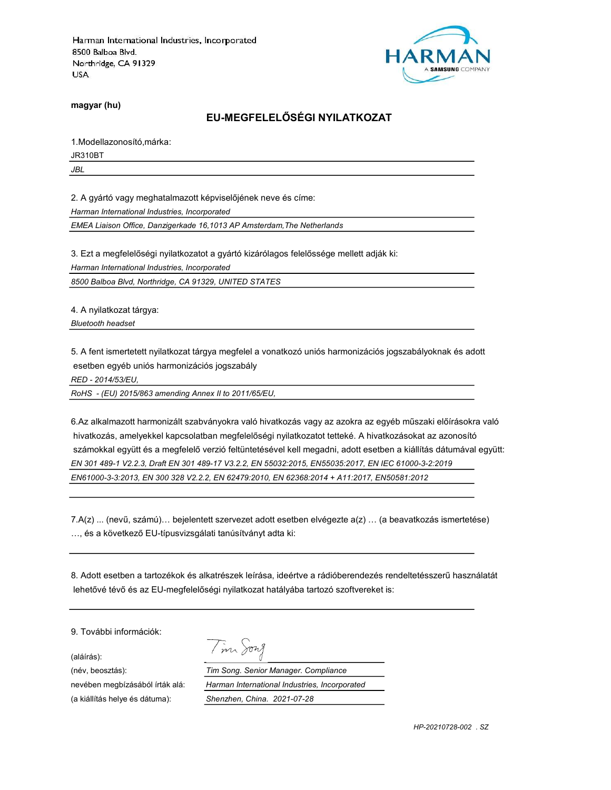

magyar (hu)

### EU-MEGFELELŐSÉGI NYILATKOZAT

1.Modellazonosító,márka:

JR310BT

JBL

2. A gyártó vagy meghatalmazott képviselőjének neve és címe:

Harman International Industries, Incorporated

EMEA Liaison Office, Danzigerkade 16,1013 AP Amsterdam,The Netherlands

3. Ezt a megfelelőségi nyilatkozatot a gyártó kizárólagos felelőssége mellett adják ki:

Harman International Industries, Incorporated

8500 Balboa Blvd, Northridge, CA 91329, UNITED STATES

4. A nyilatkozat tárgya: Bluetooth headset

5. A fent ismertetett nyilatkozat tárgya megfelel a vonatkozó uniós harmonizációs jogszabályoknak és adott esetben egyéb uniós harmonizációs jogszabály

RED - 2014/53/EU,

RoHS - (EU) 2015/863 amending Annex II to 2011/65/EU,

6.Az alkalmazott harmonizált szabványokra való hivatkozás vagy az azokra az egyéb műszaki előírásokra való hivatkozás, amelyekkel kapcsolatban megfelelőségi nyilatkozatot tetteké. A hivatkozásokat az azonosító számokkal együtt és a megfelelő verzió feltüntetésével kell megadni, adott esetben a kiállítás dátumával együtt: EN 301 489-1 V2.2.3, Draft EN 301 489-17 V3.2.2, EN 55032:2015, EN55035:2017, EN IEC 61000-3-2:2019 EN61000-3-3:2013, EN 300 328 V2.2.2, EN 62479:2010, EN 62368:2014 + A11:2017, EN50581:2012

7.A(z) ... (nevű, számú)… bejelentett szervezet adott esetben elvégezte a(z) … (a beavatkozás ismertetése) …, és a következő EU-típusvizsgálati tanúsítványt adta ki:

8. Adott esetben a tartozékok és alkatrészek leírása, ideértve a rádióberendezés rendeltetésszerű használatát lehetővé tévő és az EU-megfelelőségi nyilatkozat hatályába tartozó szoftvereket is:

9. További információk:

(aláírás): (a kiállítás helye és dátuma): Shenzhen, China. 2021-07-28

Tim Song

(név, beosztás): Tim Song. Senior Manager. Compliance nevében megbízásából írták alá: Harman International Industries, Incorporated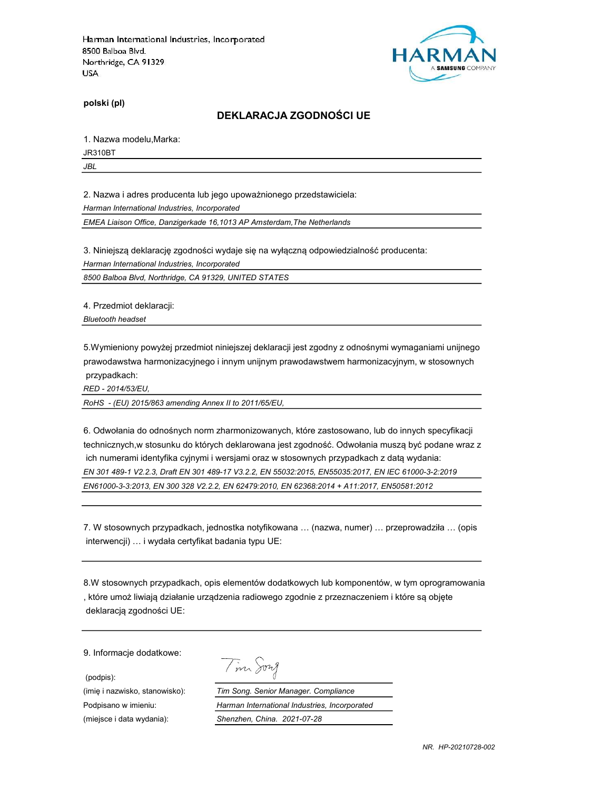

polski (pl)

### DEKLARACJA ZGODNOŚCI UE

1. Nazwa modelu,Marka:

JR310BT

JBL

2. Nazwa i adres producenta lub jego upoważnionego przedstawiciela:

Harman International Industries, Incorporated

EMEA Liaison Office, Danzigerkade 16,1013 AP Amsterdam,The Netherlands

3. Niniejszą deklarację zgodności wydaje się na wyłączną odpowiedzialność producenta:

Harman International Industries, Incorporated

8500 Balboa Blvd, Northridge, CA 91329, UNITED STATES

4. Przedmiot deklaracji:

Bluetooth headset

5.Wymieniony powyżej przedmiot niniejszej deklaracji jest zgodny z odnośnymi wymaganiami unijnego prawodawstwa harmonizacyjnego i innym unijnym prawodawstwem harmonizacyjnym, w stosownych przypadkach:

RED - 2014/53/EU,

RoHS - (EU) 2015/863 amending Annex II to 2011/65/EU,

6. Odwołania do odnośnych norm zharmonizowanych, które zastosowano, lub do innych specyfikacji technicznych,w stosunku do których deklarowana jest zgodność. Odwołania muszą być podane wraz z ich numerami identyfika cyjnymi i wersjami oraz w stosownych przypadkach z datą wydania: EN 301 489-1 V2.2.3, Draft EN 301 489-17 V3.2.2, EN 55032:2015, EN55035:2017, EN IEC 61000-3-2:2019 EN61000-3-3:2013, EN 300 328 V2.2.2, EN 62479:2010, EN 62368:2014 + A11:2017, EN50581:2012

7. W stosownych przypadkach, jednostka notyfikowana … (nazwa, numer) … przeprowadziła … (opis interwencji) … i wydała certyfikat badania typu UE:

8.W stosownych przypadkach, opis elementów dodatkowych lub komponentów, w tym oprogramowania , które umoż liwiają działanie urządzenia radiowego zgodnie z przeznaczeniem i które są objęte deklaracją zgodności UE:

9. Informacje dodatkowe:

(podpis):

(miejsce i data wydania): Shenzhen, China. 2021-07-28

| n |  |
|---|--|
|   |  |

(imię i nazwisko, stanowisko): Tim Song. Senior Manager. Compliance Podpisano w imieniu: Harman International Industries, Incorporated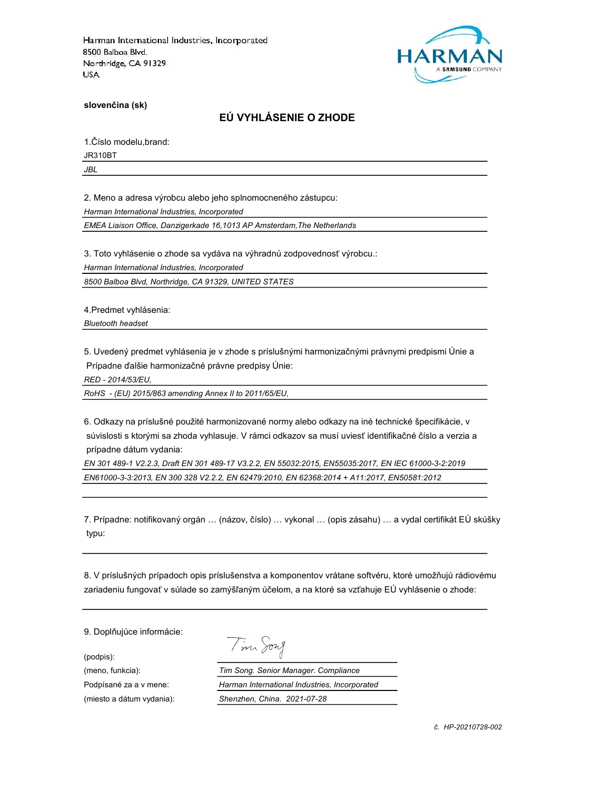

slovenčina (sk)

# EÚ VYHLÁSENIE O ZHODE

1.Číslo modelu,brand:

JR310BT

JBL

2. Meno a adresa výrobcu alebo jeho splnomocneného zástupcu:

Harman International Industries, Incorporated

EMEA Liaison Office, Danzigerkade 16,1013 AP Amsterdam,The Netherlands

3. Toto vyhlásenie o zhode sa vydáva na výhradnú zodpovednosť výrobcu.:

Harman International Industries, Incorporated

8500 Balboa Blvd, Northridge, CA 91329, UNITED STATES

4.Predmet vyhlásenia:

Bluetooth headset

5. Uvedený predmet vyhlásenia je v zhode s príslušnými harmonizačnými právnymi predpismi Únie a Prípadne ďalšie harmonizačné právne predpisy Únie:

RED - 2014/53/EU,

RoHS - (EU) 2015/863 amending Annex II to 2011/65/EU,

6. Odkazy na príslušné použité harmonizované normy alebo odkazy na iné technické špecifikácie, v súvislosti s ktorými sa zhoda vyhlasuje. V rámci odkazov sa musí uviesť identifikačné číslo a verzia a prípadne dátum vydania:

EN 301 489-1 V2.2.3, Draft EN 301 489-17 V3.2.2, EN 55032:2015, EN55035:2017, EN IEC 61000-3-2:2019 EN61000-3-3:2013, EN 300 328 V2.2.2, EN 62479:2010, EN 62368:2014 + A11:2017, EN50581:2012

7. Prípadne: notifikovaný orgán … (názov, číslo) … vykonal … (opis zásahu) … a vydal certifikát EÚ skúšky typu:

8. V príslušných prípadoch opis príslušenstva a komponentov vrátane softvéru, ktoré umožňujú rádiovému zariadeniu fungovať v súlade so zamýšľaným účelom, a na ktoré sa vzťahuje EÚ vyhlásenie o zhode:

9. Doplňujúce informácie:

(podpis):

Tim Song

(meno, funkcia): Tim Song. Senior Manager. Compliance Podpísané za a v mene: Harman International Industries, Incorporated (miesto a dátum vydania): Shenzhen, China. 2021-07-28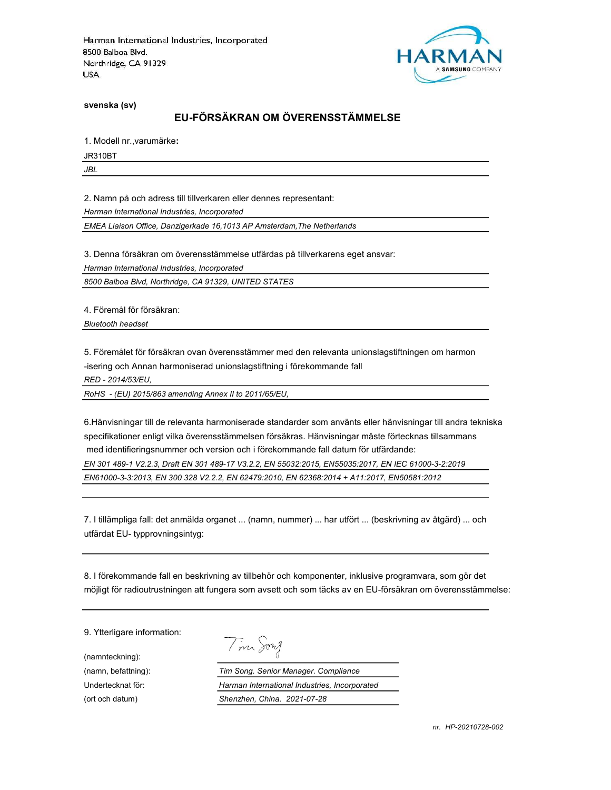

svenska (sv)

# EU-FÖRSÄKRAN OM ÖVERENSSTÄMMELSE

1. Modell nr.,varumärke:

JR310BT

JBL

2. Namn på och adress till tillverkaren eller dennes representant:

Harman International Industries, Incorporated

EMEA Liaison Office, Danzigerkade 16,1013 AP Amsterdam,The Netherlands

3. Denna försäkran om överensstämmelse utfärdas på tillverkarens eget ansvar:

Harman International Industries, Incorporated

8500 Balboa Blvd, Northridge, CA 91329, UNITED STATES

4. Föremål för försäkran:

Bluetooth headset

5. Föremålet för försäkran ovan överensstämmer med den relevanta unionslagstiftningen om harmon

-isering och Annan harmoniserad unionslagstiftning i förekommande fall

RED - 2014/53/EU,

RoHS - (EU) 2015/863 amending Annex II to 2011/65/EU,

6.Hänvisningar till de relevanta harmoniserade standarder som använts eller hänvisningar till andra tekniska specifikationer enligt vilka överensstämmelsen försäkras. Hänvisningar måste förtecknas tillsammans med identifieringsnummer och version och i förekommande fall datum för utfärdande:

EN 301 489-1 V2.2.3, Draft EN 301 489-17 V3.2.2, EN 55032:2015, EN55035:2017, EN IEC 61000-3-2:2019 EN61000-3-3:2013, EN 300 328 V2.2.2, EN 62479:2010, EN 62368:2014 + A11:2017, EN50581:2012

7. I tillämpliga fall: det anmälda organet ... (namn, nummer) ... har utfört ... (beskrivning av åtgärd) ... och utfärdat EU- typprovningsintyg:

8. I förekommande fall en beskrivning av tillbehör och komponenter, inklusive programvara, som gör det möjligt för radioutrustningen att fungera som avsett och som täcks av en EU-försäkran om överensstämmelse:

9. Ytterligare information:

(namnteckning):

Tim Song

(namn, befattning): Tim Song. Senior Manager. Compliance Undertecknat för: Harman International Industries, Incorporated (ort och datum) Shenzhen, China. 2021-07-28

nr. HP-20210728-002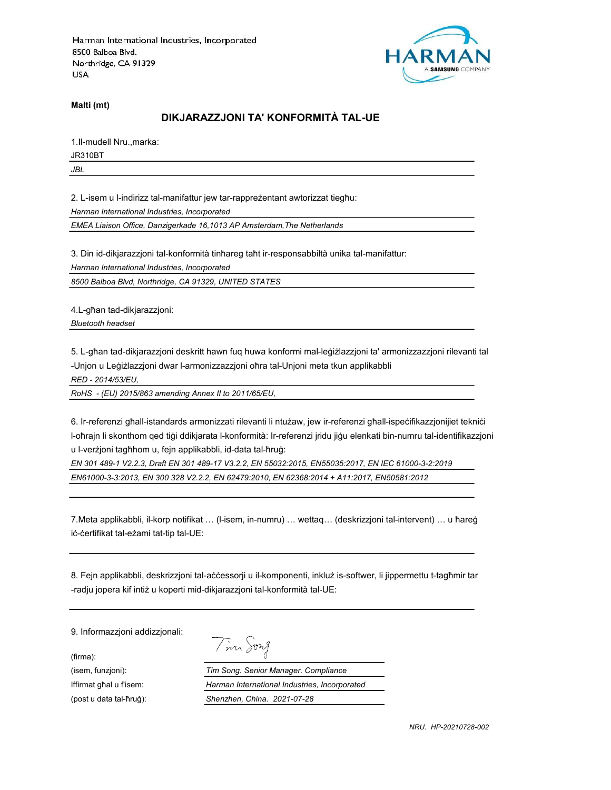

Malti (mt)

# DIKJARAZZJONI TA' KONFORMITÀ TAL-UE

1.Il-mudell Nru.,marka:

JR310BT

JBL

2. L-isem u l-indirizz tal-manifattur jew tar-rappreżentant awtorizzat tiegħu:

Harman International Industries, Incorporated

EMEA Liaison Office, Danzigerkade 16,1013 AP Amsterdam,The Netherlands

3. Din id-dikjarazzjoni tal-konformità tinħareg taħt ir-responsabbiltà unika tal-manifattur:

Harman International Industries, Incorporated

8500 Balboa Blvd, Northridge, CA 91329, UNITED STATES

4.L-għan tad-dikjarazzjoni:

Bluetooth headset

5. L-għan tad-dikjarazzjoni deskritt hawn fuq huwa konformi mal-leġiżlazzjoni ta' armonizzazzjoni rilevanti tal -Unjon u Leġiżlazzjoni dwar l-armonizzazzjoni oħra tal-Unjoni meta tkun applikabbli

RED - 2014/53/EU,

RoHS - (EU) 2015/863 amending Annex II to 2011/65/EU,

6. Ir-referenzi għall-istandards armonizzati rilevanti li ntużaw, jew ir-referenzi għall-ispeċifikazzjonijiet tekniċi l-oħrajn li skonthom qed tiġi ddikjarata l-konformità: Ir-referenzi jridu jiġu elenkati bin-numru tal-identifikazzjoni u l-verżjoni tagħhom u, fejn applikabbli, id-data tal-ħruġ:

EN 301 489-1 V2.2.3, Draft EN 301 489-17 V3.2.2, EN 55032:2015, EN55035:2017, EN IEC 61000-3-2:2019 EN61000-3-3:2013, EN 300 328 V2.2.2, EN 62479:2010, EN 62368:2014 + A11:2017, EN50581:2012

7.Meta applikabbli, il-korp notifikat … (l-isem, in-numru) … wettaq… (deskrizzjoni tal-intervent) … u ħareġ iċ-ċertifikat tal-eżami tat-tip tal-UE:

8. Fejn applikabbli, deskrizzjoni tal-aċċessorji u il-komponenti, inkluż is-softwer, li jippermettu t-tagħmir tar -radju jopera kif intiż u koperti mid-dikjarazzjoni tal-konformità tal-UE:

9. Informazzjoni addizzjonali:

(firma):

Tim Song

(isem, funzjoni): Tim Song. Senior Manager. Compliance Iffirmat għal u f'isem: Harman International Industries, Incorporated (post u data tal-ħruġ): Shenzhen, China. 2021-07-28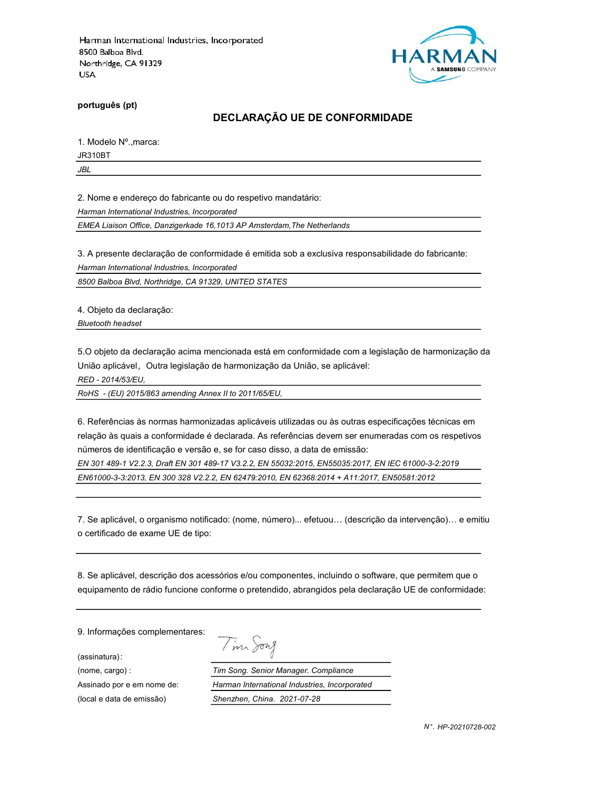

português (pt)

### DECLARAÇÃO UE DE CONFORMIDADE

1. Modelo Nº.,marca:

JR310BT

JBL

2. Nome e endereço do fabricante ou do respetivo mandatário:

Harman International Industries, Incorporated

EMEA Liaison Office, Danzigerkade 16,1013 AP Amsterdam,The Netherlands

3. A presente declaração de conformidade é emitida sob a exclusiva responsabilidade do fabricante:

Harman International Industries, Incorporated

8500 Balboa Blvd, Northridge, CA 91329, UNITED STATES

4. Objeto da declaração:

Bluetooth headset

5.O objeto da declaração acima mencionada está em conformidade com a legislação de harmonização da União aplicável, Outra legislação de harmonização da União, se aplicável:

RED - 2014/53/EU,

RoHS - (EU) 2015/863 amending Annex II to 2011/65/EU,

6. Referências às normas harmonizadas aplicáveis utilizadas ou às outras especificações técnicas em relação às quais a conformidade é declarada. As referências devem ser enumeradas com os respetivos números de identificação e versão e, se for caso disso, a data de emissão:

EN 301 489-1 V2.2.3, Draft EN 301 489-17 V3.2.2, EN 55032:2015, EN55035:2017, EN IEC 61000-3-2:2019 EN61000-3-3:2013, EN 300 328 V2.2.2, EN 62479:2010, EN 62368:2014 + A11:2017, EN50581:2012

7. Se aplicável, o organismo notificado: (nome, número)... efetuou… (descrição da intervenção)… e emitiu o certificado de exame UE de tipo:

8. Se aplicável, descrição dos acessórios e/ou componentes, incluindo o software, que permitem que o equipamento de rádio funcione conforme o pretendido, abrangidos pela declaração UE de conformidade:

9. Informações complementares:

(assinatura):

Tim Song (nome, cargo) : Tim Song. Senior Manager. Compliance Assinado por e em nome de: Harman International Industries, Incorporated (local e data de emissão) Shenzhen, China. 2021-07-28